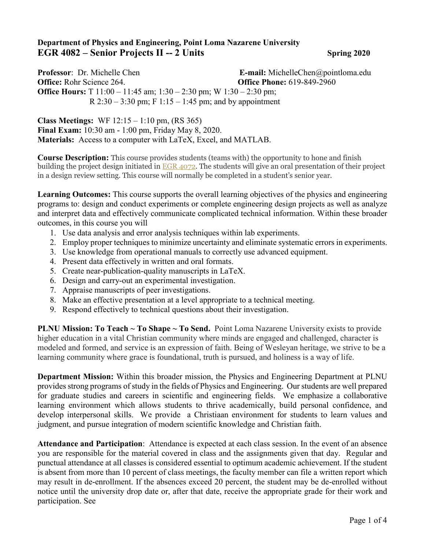## **Department of Physics and Engineering, Point Loma Nazarene University EGR 4082 – Senior Projects II -- 2 Units Spring 2020**

**Professor**: Dr. Michelle Chen **E-mail:** MichelleChen@pointloma.edu **Office:** Rohr Science 264. **Office Phone:** 619-849-2960 **Office Hours:** T 11:00 – 11:45 am; 1:30 – 2:30 pm; W 1:30 – 2:30 pm; R  $2:30 - 3:30$  pm; F  $1:15 - 1:45$  pm; and by appointment

**Class Meetings:** WF 12:15 – 1:10 pm, (RS 365) **Final Exam:** 10:30 am - 1:00 pm, Friday May 8, 2020. **Materials:** Access to a computer with LaTeX, Excel, and MATLAB.

**Course Description:** This course provides students (teams with) the opportunity to hone and finish building the project design initiated in [EGR 4072.](https://catalog.pointloma.edu/content.php?filter%5B27%5D=EGR&filter%5B29%5D=4082&filter%5Bcourse_type%5D=-1&filter%5Bkeyword%5D=&filter%5B32%5D=1&filter%5Bcpage%5D=1&cur_cat_oid=41&expand=&navoid=2443&search_database=Filter#tt4194) The students will give an oral presentation of their project in a design review setting. This course will normally be completed in a student's senior year.

**Learning Outcomes:** This course supports the overall learning objectives of the physics and engineering programs to: design and conduct experiments or complete engineering design projects as well as analyze and interpret data and effectively communicate complicated technical information. Within these broader outcomes, in this course you will

- 1. Use data analysis and error analysis techniques within lab experiments.
- 2. Employ proper techniques to minimize uncertainty and eliminate systematic errors in experiments.
- 3. Use knowledge from operational manuals to correctly use advanced equipment.
- 4. Present data effectively in written and oral formats.
- 5. Create near-publication-quality manuscripts in LaTeX.
- 6. Design and carry-out an experimental investigation.
- 7. Appraise manuscripts of peer investigations.
- 8. Make an effective presentation at a level appropriate to a technical meeting.
- 9. Respond effectively to technical questions about their investigation.

**PLNU Mission: To Teach ~ To Shape ~ To Send.** Point Loma Nazarene University exists to provide higher education in a vital Christian community where minds are engaged and challenged, character is modeled and formed, and service is an expression of faith. Being of Wesleyan heritage, we strive to be a learning community where grace is foundational, truth is pursued, and holiness is a way of life.

**Department Mission:** Within this broader mission, the Physics and Engineering Department at PLNU provides strong programs of study in the fields of Physics and Engineering. Our students are well prepared for graduate studies and careers in scientific and engineering fields. We emphasize a collaborative learning environment which allows students to thrive academically, build personal confidence, and develop interpersonal skills. We provide a Christiaan environment for students to learn values and judgment, and pursue integration of modern scientific knowledge and Christian faith.

**Attendance and Participation**: Attendance is expected at each class session. In the event of an absence you are responsible for the material covered in class and the assignments given that day. Regular and punctual attendance at all classes is considered essential to optimum academic achievement. If the student is absent from more than 10 percent of class meetings, the faculty member can file a written report which may result in de-enrollment. If the absences exceed 20 percent, the student may be de-enrolled without notice until the university drop date or, after that date, receive the appropriate grade for their work and participation. See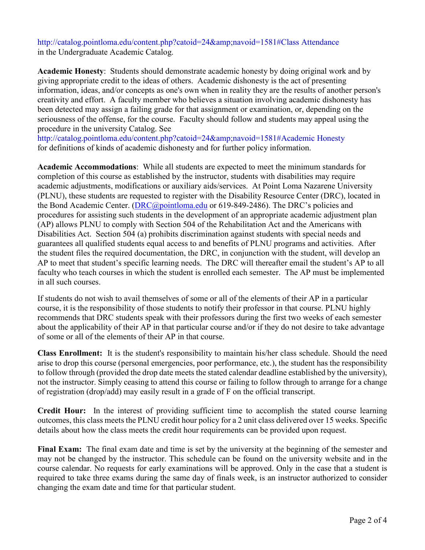http://catalog.pointloma.edu/content.php?catoid=24&navoid=1581#Class Attendance in the Undergraduate Academic Catalog.

**Academic Honesty**: Students should demonstrate academic honesty by doing original work and by giving appropriate credit to the ideas of others. Academic dishonesty is the act of presenting information, ideas, and/or concepts as one's own when in reality they are the results of another person's creativity and effort. A faculty member who believes a situation involving academic dishonesty has been detected may assign a failing grade for that assignment or examination, or, depending on the seriousness of the offense, for the course. Faculty should follow and students may appeal using the procedure in the university Catalog. See

http://catalog.pointloma.edu/content.php?catoid=24&navoid=1581#Academic Honesty for definitions of kinds of academic dishonesty and for further policy information.

**Academic Accommodations**: While all students are expected to meet the minimum standards for completion of this course as established by the instructor, students with disabilities may require academic adjustments, modifications or auxiliary aids/services. At Point Loma Nazarene University (PLNU), these students are requested to register with the Disability Resource Center (DRC), located in the Bond Academic Center. [\(DRC@pointloma.edu](mailto:DRC@pointloma.edu) or 619-849-2486). The DRC's policies and procedures for assisting such students in the development of an appropriate academic adjustment plan (AP) allows PLNU to comply with Section 504 of the Rehabilitation Act and the Americans with Disabilities Act. Section 504 (a) prohibits discrimination against students with special needs and guarantees all qualified students equal access to and benefits of PLNU programs and activities. After the student files the required documentation, the DRC, in conjunction with the student, will develop an AP to meet that student's specific learning needs. The DRC will thereafter email the student's AP to all faculty who teach courses in which the student is enrolled each semester. The AP must be implemented in all such courses.

If students do not wish to avail themselves of some or all of the elements of their AP in a particular course, it is the responsibility of those students to notify their professor in that course. PLNU highly recommends that DRC students speak with their professors during the first two weeks of each semester about the applicability of their AP in that particular course and/or if they do not desire to take advantage of some or all of the elements of their AP in that course.

**Class Enrollment:** It is the student's responsibility to maintain his/her class schedule. Should the need arise to drop this course (personal emergencies, poor performance, etc.), the student has the responsibility to follow through (provided the drop date meets the stated calendar deadline established by the university), not the instructor. Simply ceasing to attend this course or failing to follow through to arrange for a change of registration (drop/add) may easily result in a grade of F on the official transcript.

**Credit Hour:** In the interest of providing sufficient time to accomplish the stated course learning outcomes, this class meets the PLNU credit hour policy for a 2 unit class delivered over 15 weeks. Specific details about how the class meets the credit hour requirements can be provided upon request.

**Final Exam:** The final exam date and time is set by the university at the beginning of the semester and may not be changed by the instructor. This schedule can be found on the university website and in the course calendar. No requests for early examinations will be approved. Only in the case that a student is required to take three exams during the same day of finals week, is an instructor authorized to consider changing the exam date and time for that particular student.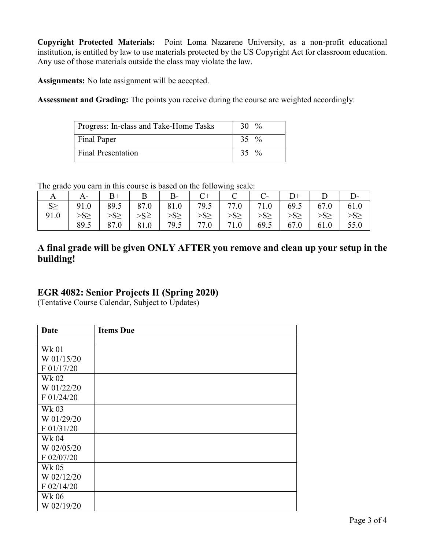**Copyright Protected Materials:** Point Loma Nazarene University, as a non-profit educational institution, is entitled by law to use materials protected by the US Copyright Act for classroom education. Any use of those materials outside the class may violate the law.

**Assignments:** No late assignment will be accepted.

**Assessment and Grading:** The points you receive during the course are weighted accordingly:

| Progress: In-class and Take-Home Tasks | 30 $\%$ |
|----------------------------------------|---------|
| Final Paper                            | 35 $\%$ |
| <b>Final Presentation</b>              | 35 $\%$ |

The grade you earn in this course is based on the following scale:

| $\mathbf{A}$ |          | $B+$     |                    | B B-                                                                | $C^+$     | $\overline{C}$ 1 |          | $D+$     |               |           |
|--------------|----------|----------|--------------------|---------------------------------------------------------------------|-----------|------------------|----------|----------|---------------|-----------|
|              |          |          |                    | 91.0   89.5   87.0   81.0   79.5   77.0   71.0   69.5   67.0   61.0 |           |                  |          |          |               |           |
| 91.0         | $>S\geq$ | $>S\geq$ |                    | $>>S^{\ge}$ $>>S^{\ge}$                                             | $>S \geq$ | $>S\geq$         | $>S\geq$ | $>S\geq$ | $>S\geq$      | $>S \geq$ |
|              | 89.5     |          | 87.0   81.0   79.5 |                                                                     |           | $71.0$   69.5    |          |          | $67.0$   61.0 | 55.0      |

## **A final grade will be given ONLY AFTER you remove and clean up your setup in the building!**

## **EGR 4082: Senior Projects II (Spring 2020)**

(Tentative Course Calendar, Subject to Updates)

| Date       | <b>Items Due</b> |
|------------|------------------|
|            |                  |
| Wk 01      |                  |
| W 01/15/20 |                  |
| F 01/17/20 |                  |
| Wk 02      |                  |
| W 01/22/20 |                  |
| F 01/24/20 |                  |
| Wk 03      |                  |
| W 01/29/20 |                  |
| F 01/31/20 |                  |
| Wk 04      |                  |
| W 02/05/20 |                  |
| F 02/07/20 |                  |
| Wk 05      |                  |
| W 02/12/20 |                  |
| F 02/14/20 |                  |
| Wk 06      |                  |
| W 02/19/20 |                  |